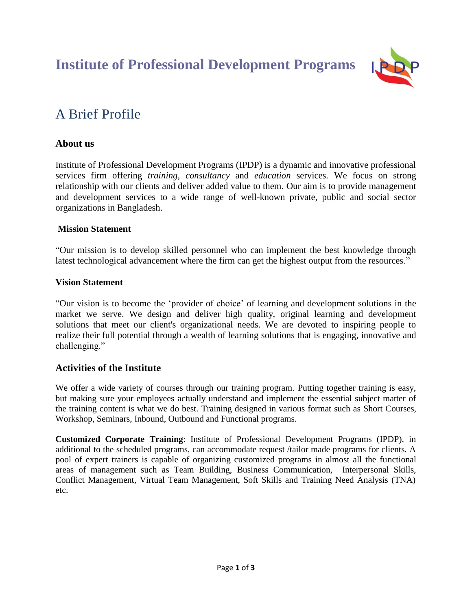**Institute of Professional Development Programs**



# A Brief Profile

# **About us**

Institute of Professional Development Programs (IPDP) is a dynamic and innovative professional services firm offering *training, consultancy* and *education* services. We focus on strong relationship with our clients and deliver added value to them. Our aim is to provide management and development services to a wide range of well-known private, public and social sector organizations in Bangladesh.

# **Mission Statement**

"Our mission is to develop skilled personnel who can implement the best knowledge through latest technological advancement where the firm can get the highest output from the resources."

# **Vision Statement**

"Our vision is to become the 'provider of choice' of learning and development solutions in the market we serve. We design and deliver high quality, original learning and development solutions that meet our client's organizational needs. We are devoted to inspiring people to realize their full potential through a wealth of learning solutions that is engaging, innovative and challenging."

# **Activities of the Institute**

We offer a wide variety of courses through our training program. Putting together training is easy, but making sure your employees actually understand and implement the essential subject matter of the training content is what we do best. Training designed in various format such as Short Courses, Workshop, Seminars, Inbound, Outbound and Functional programs.

**Customized Corporate Training**: Institute of Professional Development Programs (IPDP), in additional to the scheduled programs, can accommodate request /tailor made programs for clients. A pool of expert trainers is capable of organizing customized programs in almost all the functional areas of management such as Team Building, Business Communication, Interpersonal Skills, Conflict Management, Virtual Team Management, Soft Skills and Training Need Analysis (TNA) etc.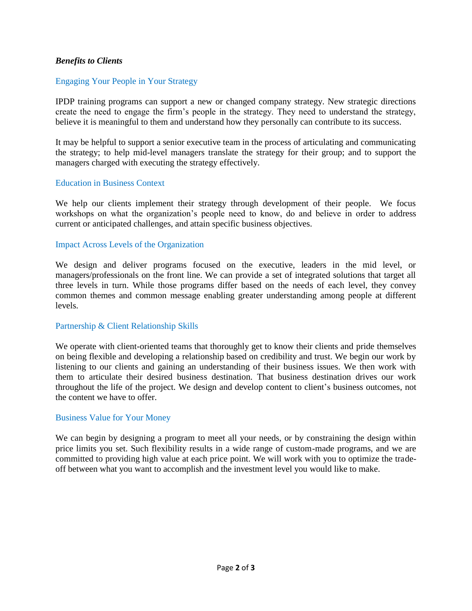## *Benefits to Clients*

### Engaging Your People in Your Strategy

IPDP training programs can support a new or changed company strategy. New strategic directions create the need to engage the firm's people in the strategy. They need to understand the strategy, believe it is meaningful to them and understand how they personally can contribute to its success.

It may be helpful to support a senior executive team in the process of articulating and communicating the strategy; to help mid-level managers translate the strategy for their group; and to support the managers charged with executing the strategy effectively.

#### Education in Business Context

We help our clients implement their strategy through development of their people. We focus workshops on what the organization's people need to know, do and believe in order to address current or anticipated challenges, and attain specific business objectives.

#### Impact Across Levels of the Organization

We design and deliver programs focused on the executive, leaders in the mid level, or managers/professionals on the front line. We can provide a set of integrated solutions that target all three levels in turn. While those programs differ based on the needs of each level, they convey common themes and common message enabling greater understanding among people at different levels.

#### Partnership & Client Relationship Skills

We operate with client-oriented teams that thoroughly get to know their clients and pride themselves on being flexible and developing a relationship based on credibility and trust. We begin our work by listening to our clients and gaining an understanding of their business issues. We then work with them to articulate their desired business destination. That business destination drives our work throughout the life of the project. We design and develop content to client's business outcomes, not the content we have to offer.

#### Business Value for Your Money

We can begin by designing a program to meet all your needs, or by constraining the design within price limits you set. Such flexibility results in a wide range of custom-made programs, and we are committed to providing high value at each price point. We will work with you to optimize the tradeoff between what you want to accomplish and the investment level you would like to make.